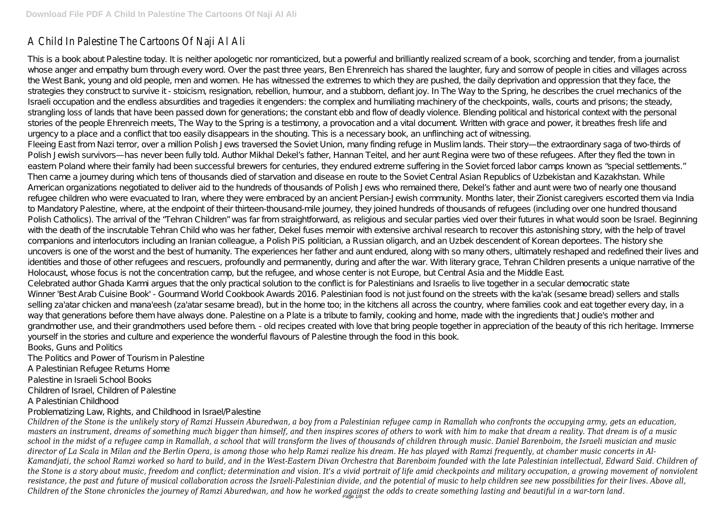# A Child In Palestine The Cartoons Of Naji Al Ali

This is a book about Palestine today. It is neither apologetic nor romanticized, but a powerful and brilliantly realized scream of a book, scorching and tender, from a journalist whose anger and empathy burn through every word. Over the past three years, Ben Ehrenreich has shared the laughter, fury and sorrow of people in cities and villages across the West Bank, young and old people, men and women. He has witnessed the extremes to which they are pushed, the daily deprivation and oppression that they face, the strategies they construct to survive it - stoicism, resignation, rebellion, humour, and a stubborn, defiant joy. In The Way to the Spring, he describes the cruel mechanics of the Israeli occupation and the endless absurdities and tragedies it engenders: the complex and humiliating machinery of the checkpoints, walls, courts and prisons; the steady, strangling loss of lands that have been passed down for generations; the constant ebb and flow of deadly violence. Blending political and historical context with the personal stories of the people Ehrenreich meets, The Way to the Spring is a testimony, a provocation and a vital document. Written with grace and power, it breathes fresh life and urgency to a place and a conflict that too easily disappears in the shouting. This is a necessary book, an unflinching act of witnessing. Fleeing East from Nazi terror, over a million Polish Jews traversed the Soviet Union, many finding refuge in Muslim lands. Their story—the extraordinary saga of two-thirds of Polish Jewish survivors—has never been fully told. Author Mikhal Dekel's father, Hannan Teitel, and her aunt Regina were two of these refugees. After they fled the town in eastern Poland where their family had been successful brewers for centuries, they endured extreme suffering in the Soviet forced labor camps known as "special settlements." Then came a journey during which tens of thousands died of starvation and disease en route to the Soviet Central Asian Republics of Uzbekistan and Kazakhstan. While American organizations negotiated to deliver aid to the hundreds of thousands of Polish Jews who remained there, Dekel's father and aunt were two of nearly one thousand refugee children who were evacuated to Iran, where they were embraced by an ancient Persian-Jewish community. Months later, their Zionist caregivers escorted them via India to Mandatory Palestine, where, at the endpoint of their thirteen-thousand-mile journey, they joined hundreds of thousands of refugees (including over one hundred thousand Polish Catholics). The arrival of the "Tehran Children" was far from straightforward, as religious and secular parties vied over their futures in what would soon be Israel. Beginning with the death of the inscrutable Tehran Child who was her father, Dekel fuses memoir with extensive archival research to recover this astonishing story, with the help of travel companions and interlocutors including an Iranian colleague, a Polish PiS politician, a Russian oligarch, and an Uzbek descendent of Korean deportees. The history she uncovers is one of the worst and the best of humanity. The experiences her father and aunt endured, along with so many others, ultimately reshaped and redefined their lives and identities and those of other refugees and rescuers, profoundly and permanently, during and after the war. With literary grace, Tehran Children presents a unique narrative of the Holocaust, whose focus is not the concentration camp, but the refugee, and whose center is not Europe, but Central Asia and the Middle East. Celebrated author Ghada Karmi argues that the only practical solution to the conflict is for Palestinians and Israelis to live together in a secular democratic state Winner 'Best Arab Cuisine Book' - Gourmand World Cookbook Awards 2016. Palestinian food is not just found on the streets with the ka'ak (sesame bread) sellers and stalls selling za'atar chicken and mana'eesh (za'atar sesame bread), but in the home too; in the kitchens all across the country, where families cook and eat together every day, in a way that generations before them have always done. Palestine on a Plate is a tribute to family, cooking and home, made with the ingredients that Joudie's mother and grandmother use, and their grandmothers used before them. - old recipes created with love that bring people together in appreciation of the beauty of this rich heritage. Immerse yourself in the stories and culture and experience the wonderful flavours of Palestine through the food in this book. Books, Guns and Politics

The Politics and Power of Tourism in Palestine

A Palestinian Refugee Returns Home

Palestine in Israeli School Books

Children of Israel, Children of Palestine

A Palestinian Childhood

Problematizing Law, Rights, and Childhood in Israel/Palestine

*Children of the Stone is the unlikely story of Ramzi Hussein Aburedwan, a boy from a Palestinian refugee camp in Ramallah who confronts the occupying army, gets an education, masters an instrument, dreams of something much bigger than himself, and then inspires scores of others to work with him to make that dream a reality. That dream is of a music school in the midst of a refugee camp in Ramallah, a school that will transform the lives of thousands of children through music. Daniel Barenboim, the Israeli musician and music director of La Scala in Milan and the Berlin Opera, is among those who help Ramzi realize his dream. He has played with Ramzi frequently, at chamber music concerts in Al-Kamandjati, the school Ramzi worked so hard to build, and in the West-Eastern Divan Orchestra that Barenboim founded with the late Palestinian intellectual, Edward Said. Children of the Stone is a story about music, freedom and conflict; determination and vision. It's a vivid portrait of life amid checkpoints and military occupation, a growing movement of nonviolent resistance, the past and future of musical collaboration across the Israeli-Palestinian divide, and the potential of music to help children see new possibilities for their lives. Above all, Children of the Stone chronicles the journey of Ramzi Aburedwan, and how he worked against the odds to create something lasting and beautiful in a war-torn land.* Page 1/8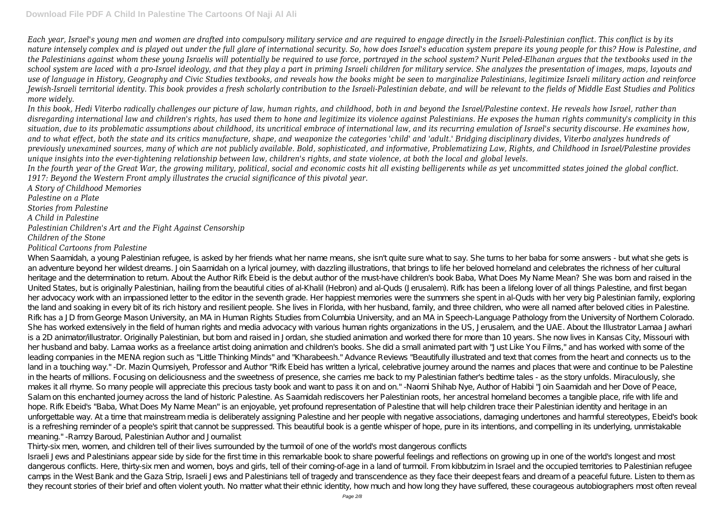*Each year, Israel's young men and women are drafted into compulsory military service and are required to engage directly in the Israeli-Palestinian conflict. This conflict is by its nature intensely complex and is played out under the full glare of international security. So, how does Israel's education system prepare its young people for this? How is Palestine, and the Palestinians against whom these young Israelis will potentially be required to use force, portrayed in the school system? Nurit Peled-Elhanan argues that the textbooks used in the school system are laced with a pro-Israel ideology, and that they play a part in priming Israeli children for military service. She analyzes the presentation of images, maps, layouts and use of language in History, Geography and Civic Studies textbooks, and reveals how the books might be seen to marginalize Palestinians, legitimize Israeli military action and reinforce Jewish-Israeli territorial identity. This book provides a fresh scholarly contribution to the Israeli-Palestinian debate, and will be relevant to the fields of Middle East Studies and Politics more widely.*

*In this book, Hedi Viterbo radically challenges our picture of law, human rights, and childhood, both in and beyond the Israel/Palestine context. He reveals how Israel, rather than disregarding international law and children's rights, has used them to hone and legitimize its violence against Palestinians. He exposes the human rights community's complicity in this situation, due to its problematic assumptions about childhood, its uncritical embrace of international law, and its recurring emulation of Israel's security discourse. He examines how, and to what effect, both the state and its critics manufacture, shape, and weaponize the categories 'child' and 'adult.' Bridging disciplinary divides, Viterbo analyzes hundreds of previously unexamined sources, many of which are not publicly available. Bold, sophisticated, and informative, Problematizing Law, Rights, and Childhood in Israel/Palestine provides unique insights into the ever-tightening relationship between law, children's rights, and state violence, at both the local and global levels. In the fourth year of the Great War, the growing military, political, social and economic costs hit all existing belligerents while as yet uncommitted states joined the global conflict. 1917: Beyond the Western Front amply illustrates the crucial significance of this pivotal year.*

*A Story of Childhood Memories Palestine on a Plate Stories from Palestine A Child in Palestine Palestinian Children's Art and the Fight Against Censorship Children of the Stone*

## *Political Cartoons from Palestine*

When Saamidah, a young Palestinian refugee, is asked by her friends what her name means, she isn't quite sure what to say. She turns to her baba for some answers - but what she gets is an adventure beyond her wildest dreams. Join Saamidah on a lyrical journey, with dazzling illustrations, that brings to life her beloved homeland and celebrates the richness of her cultural heritage and the determination to return. About the Author Rifk Ebeid is the debut author of the must-have children's book Baba, What Does My Name Mean? She was born and raised in the United States, but is originally Palestinian, hailing from the beautiful cities of al-Khalil (Hebron) and al-Quds (Jerusalem). Rifk has been a lifelong lover of all things Palestine, and first began her advocacy work with an impassioned letter to the editor in the seventh grade. Her happiest memories were the summers she spent in al-Quds with her very big Palestinian family, exploring the land and soaking in every bit of its rich history and resilient people. She lives in Florida, with her husband, family, and three children, who were all named after beloved cities in Palestine. Rifk has a JD from George Mason University, an MA in Human Rights Studies from Columbia University, and an MA in Speech-Language Pathology from the University of Northern Colorado. She has worked extensively in the field of human rights and media advocacy with various human rights organizations in the US, Jerusalem, and the UAE. About the Illustrator Lamaa Jawhari is a 2D animator/illustrator. Originally Palestinian, but born and raised in Jordan, she studied animation and worked there for more than 10 years. She now lives in Kansas City, Missouri with her husband and baby. Lamaa works as a freelance artist doing animation and children's books. She did a small animated part with "Just Like You Films," and has worked with some of the leading companies in the MENA region such as "Little Thinking Minds" and "Kharabeesh." Advance Reviews "Beautifully illustrated and text that comes from the heart and connects us to the land in a touching way." -Dr. Mazin Qumsiyeh, Professor and Author "Rifk Ebeid has written a lyrical, celebrative journey around the names and places that were and continue to be Palestine in the hearts of millions. Focusing on deliciousness and the sweetness of presence, she carries me back to my Palestinian father's bedtime tales - as the story unfolds. Miraculously, she makes it all rhyme. So many people will appreciate this precious tasty book and want to pass it on and on." -Naomi Shihab Nye, Author of Habibi "Join Saamidah and her Dove of Peace, Salam on this enchanted journey across the land of historic Palestine. As Saamidah rediscovers her Palestinian roots, her ancestral homeland becomes a tangible place, rife with life and hope. Rifk Ebeid's "Baba, What Does My Name Mean" is an enjoyable, yet profound representation of Palestine that will help children trace their Palestinian identity and heritage in an unforgettable way. At a time that mainstream media is deliberately assigning Palestine and her people with negative associations, damaging undertones and harmful stereotypes, Ebeid's book is a refreshing reminder of a people's spirit that cannot be suppressed. This beautiful book is a gentle whisper of hope, pure in its intentions, and compelling in its underlying, unmistakable meaning." -Ramzy Baroud, Palestinian Author and Journalist

Thirty-six men, women, and children tell of their lives surrounded by the turmoil of one of the world's most dangerous conflicts

Israeli Jews and Palestinians appear side by side for the first time in this remarkable book to share powerful feelings and reflections on growing up in one of the world's longest and most dangerous conflicts. Here, thirty-six men and women, boys and girls, tell of their coming-of-age in a land of turmoil. From kibbutzim in Israel and the occupied territories to Palestinian refugee camps in the West Bank and the Gaza Strip, Israeli Jews and Palestinians tell of tragedy and transcendence as they face their deepest fears and dream of a peaceful future. Listen to them as they recount stories of their brief and often violent youth. No matter what their ethnic identity, how much and how long they have suffered, these courageous autobiographers most often reveal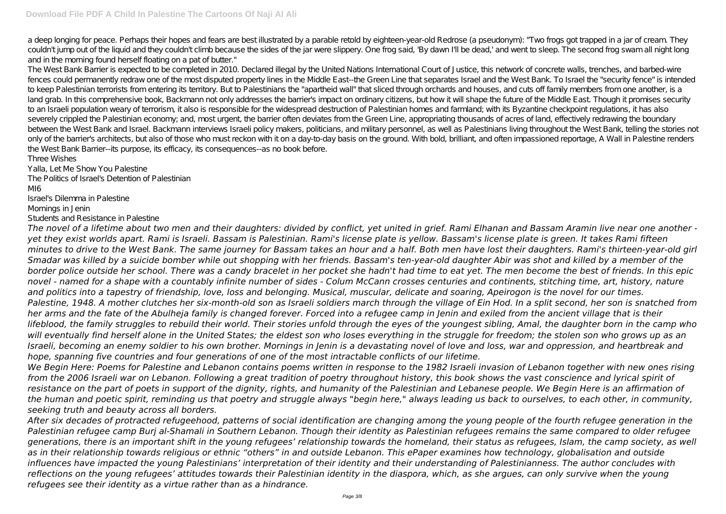a deep longing for peace. Perhaps their hopes and fears are bestillustrated by a parable retold by eighteen-year-old Redrose (a pseudonym): "Two frogs got trapped in a jar of cream. They couldn't jump out of the liquid and they couldn't climb because the sides of the jar were slippery. One frog said, 'By dawn I'll be dead,' and went to sleep. The second frog swam all night long and in the morning found herself floating on a pat of butter."

The West Bank Barrier is expected to be completed in 2010. Declared illegal by the United Nations International Court of Justice, this network of concrete walls, trenches, and barbed-wire fences could permanently redraw one of the most disputed property lines in the Middle East--the Green Line that separates Israel and the West Bank. To Israel the "security fence" is intended to keep Palestinian terrorists from entering its territory. But to Palestinians the "apartheid wall" that sliced through orchards and houses, and cuts off family members from one another, is a land grab. In this comprehensive book, Backmann not only addresses the barrier's impact on ordinary citizens, but how it will shape the future of the Middle East. Though it promises security to an Israeli population weary of terrorism, it also is responsible for the widespread destruction of Palestinian homes and farmland; with its Byzantine checkpoint regulations, it has also severely crippled the Palestinian economy; and, most urgent, the barrier often deviates from the Green Line, appropriating thousands of acres of land, effectively redrawing the boundary between the West Bank and Israel. Backmann interviews Israeli policy makers, politicians, and military personnel, as well as Palestinians living throughout the West Bank, telling the stories not only of the barrier's architects, but also of those who must reckon with it on a day-to-day basis on the ground. With bold, brilliant, and often impassioned reportage, A Wall in Palestine renders the West Bank Barrier--its purpose, its efficacy, its consequences--as no book before.

Three Wishes Yalla, Let Me Show You Palestine

The Politics of Israel's Detention of Palestinian MI6 Israel's Dilemma in Palestine Mornings in Jenin Students and Resistance in Palestine

*The novel of a lifetime about two men and their daughters: divided by conflict, yet united in grief. Rami Elhanan and Bassam Aramin live near one another yet they exist worlds apart. Rami is Israeli. Bassam is Palestinian. Rami's license plate is yellow. Bassam's license plate is green. It takes Rami fifteen minutes to drive to the West Bank. The same journey for Bassam takes an hour and a half. Both men have lost their daughters. Rami's thirteen-year-old girl Smadar was killed by a suicide bomber while out shopping with her friends. Bassam's ten-year-old daughter Abir was shot and killed by a member of the border police outside her school. There was a candy bracelet in her pocket she hadn't had time to eat yet. The men become the best of friends. In this epic novel - named for a shape with a countably infinite number of sides - Colum McCann crosses centuries and continents, stitching time, art, history, nature and politics into a tapestry of friendship, love, loss and belonging. Musical, muscular, delicate and soaring, Apeirogon is the novel for our times. Palestine, 1948. A mother clutches her six-month-old son as Israeli soldiers march through the village of Ein Hod. In a split second, her son is snatched from her arms and the fate of the Abulheja family is changed forever. Forced into a refugee camp in Jenin and exiled from the ancient village that is their lifeblood, the family struggles to rebuild their world. Their stories unfold through the eyes of the youngest sibling, Amal, the daughter born in the camp who will eventually find herself alone in the United States; the eldest son who loses everything in the struggle for freedom; the stolen son who grows up as an Israeli, becoming an enemy soldier to his own brother. Mornings in Jenin is a devastating novel of love and loss, war and oppression, and heartbreak and hope, spanning five countries and four generations of one of the most intractable conflicts of our lifetime.*

*We Begin Here: Poems for Palestine and Lebanon contains poems written in response to the 1982 Israeli invasion of Lebanon together with new ones rising from the 2006 Israeli war on Lebanon. Following a great tradition of poetry throughout history, this book shows the vast conscience and lyrical spirit of resistance on the part of poets in support of the dignity, rights, and humanity of the Palestinian and Lebanese people. We Begin Here is an affirmation of the human and poetic spirit, reminding us that poetry and struggle always "begin here," always leading us back to ourselves, to each other, in community, seeking truth and beauty across all borders.*

*After six decades of protracted refugeehood, patterns of social identification are changing among the young people of the fourth refugee generation in the Palestinian refugee camp Burj al-Shamali in Southern Lebanon. Though their identity as Palestinian refugees remains the same compared to older refugee generations, there is an important shift in the young refugees' relationship towards the homeland, their status as refugees, Islam, the camp society, as well as in their relationship towards religious or ethnic "others" in and outside Lebanon. This ePaper examines how technology, globalisation and outside influences have impacted the young Palestinians' interpretation of their identity and their understanding of Palestinianness. The author concludes with reflections on the young refugees' attitudes towards their Palestinian identity in the diaspora, which, as she argues, can only survive when the young refugees see their identity as a virtue rather than as a hindrance.*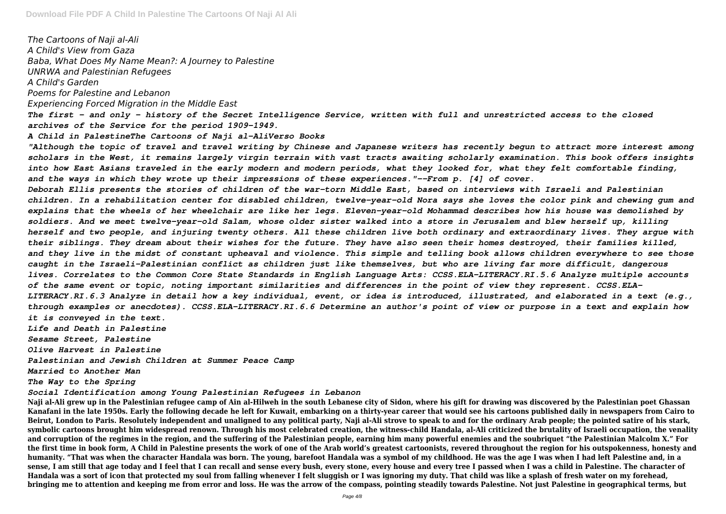*The Cartoons of Naji al-Ali A Child's View from Gaza Baba, What Does My Name Mean?: A Journey to Palestine UNRWA and Palestinian Refugees A Child's Garden Poems for Palestine and Lebanon Experiencing Forced Migration in the Middle East The first - and only - history of the Secret Intelligence Service, written with full and unrestricted access to the closed archives of the Service for the period 1909-1949. A Child in PalestineThe Cartoons of Naji al-AliVerso Books "Although the topic of travel and travel writing by Chinese and Japanese writers has recently begun to attract more interest among scholars in the West, it remains largely virgin terrain with vast tracts awaiting scholarly examination. This book offers insights into how East Asians traveled in the early modern and modern periods, what they looked for, what they felt comfortable finding, and the ways in which they wrote up their impressions of these experiences."--From p. [4] of cover. Deborah Ellis presents the stories of children of the war-torn Middle East, based on interviews with Israeli and Palestinian children. In a rehabilitation center for disabled children, twelve-year-old Nora says she loves the color pink and chewing gum and explains that the wheels of her wheelchair are like her legs. Eleven-year-old Mohammad describes how his house was demolished by soldiers. And we meet twelve-year-old Salam, whose older sister walked into a store in Jerusalem and blew herself up, killing herself and two people, and injuring twenty others. All these children live both ordinary and extraordinary lives. They argue with their siblings. They dream about their wishes for the future. They have also seen their homes destroyed, their families killed,* and they live in the midst of constant upheaval and violence. This simple and telling book allows children everywhere to see those *caught in the Israeli-Palestinian conflict as children just like themselves, but who are living far more difficult, dangerous lives. Correlates to the Common Core State Standards in English Language Arts: CCSS.ELA-LITERACY.RI.5.6 Analyze multiple accounts of the same event or topic, noting important similarities and differences in the point of view they represent. CCSS.ELA-LITERACY.RI.6.3 Analyze in detail how a key individual, event, or idea is introduced, illustrated, and elaborated in a text (e.g., through examples or anecdotes). CCSS.ELA-LITERACY.RI.6.6 Determine an author's point of view or purpose in a text and explain how it is conveyed in the text. Life and Death in Palestine Sesame Street, Palestine Olive Harvest in Palestine Palestinian and Jewish Children at Summer Peace Camp Married to Another Man The Way to the Spring*

*Social Identification among Young Palestinian Refugees in Lebanon*

**Naji al-Ali grew up in the Palestinian refugee camp of Ain al-Hilweh in the south Lebanese city of Sidon, where his gift for drawing was discovered by the Palestinian poet Ghassan Kanafani in the late 1950s. Early the following decade he left for Kuwait, embarking on a thirty-year career that would see his cartoons published daily in newspapers from Cairo to Beirut, London to Paris. Resolutely independent and unaligned to any political party, Naji al-Ali strove to speak to and for the ordinary Arab people; the pointed satire of his stark, symbolic cartoons brought him widespread renown. Through his most celebrated creation, the witness-child Handala, al-Ali criticized the brutality of Israeli occupation, the venality and corruption of the regimes in the region, and the suffering of the Palestinian people, earning him many powerful enemies and the soubriquet "the Palestinian Malcolm X." For the first time in book form, A Child in Palestine presents the work of one of the Arab world's greatest cartoonists, revered throughout the region for his outspokenness, honesty and humanity. "That was when the character Handala was born. The young, barefoot Handala was a symbol of my childhood. He was the age I was when I had left Palestine and, in a sense, I am still that age today and I feel that I can recall and sense every bush, every stone, every house and every tree I passed when I was a child in Palestine. The character of Handala was a sort of icon that protected my soul from falling whenever I felt sluggish or I was ignoring my duty. That child was like a splash of fresh water on my forehead, bringing me to attention and keeping me from error and loss. He was the arrow of the compass, pointing steadily towards Palestine. Not just Palestine in geographical terms, but**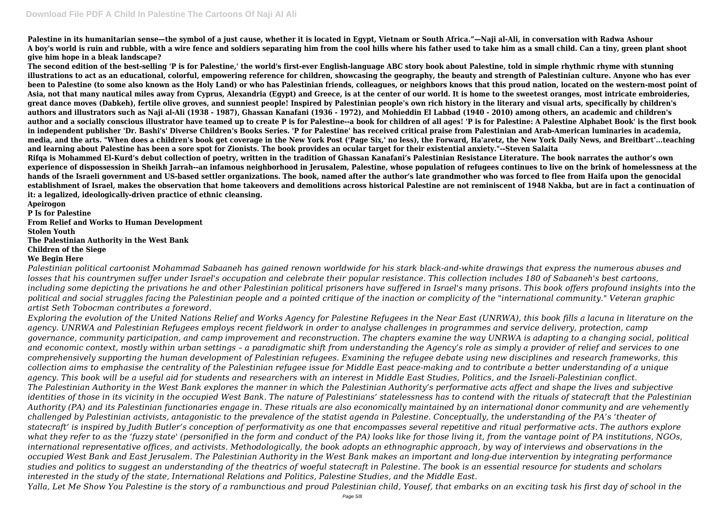**Palestine in its humanitarian sense—the symbol of a just cause, whether it is located in Egypt, Vietnam or South Africa."—Naji al-Ali, in conversation with Radwa Ashour A boy's world is ruin and rubble, with a wire fence and soldiers separating him from the cool hills where his father used to take him as a small child. Can a tiny, green plant shoot give him hope in a bleak landscape?**

**The second edition of the best-selling 'P is for Palestine,' the world's first-ever English-language ABC story book about Palestine, told in simple rhythmic rhyme with stunning illustrations to act as an educational, colorful, empowering reference for children, showcasing the geography, the beauty and strength of Palestinian culture. Anyone who has ever been to Palestine (to some also known as the Holy Land) or who has Palestinian friends, colleagues, or neighbors knows that this proud nation, located on the western-most point of Asia, not that many nautical miles away from Cyprus, Alexandria (Egypt) and Greece, is at the center of our world. It is home to the sweetest oranges, most intricate embroideries, great dance moves (Dabkeh), fertile olive groves, and sunniest people! Inspired by Palestinian people's own rich history in the literary and visual arts, specifically by children's authors and illustrators such as Naji al-Ali (1938 - 1987), Ghassan Kanafani (1936 - 1972), and Mohieddin El Labbad (1940 - 2010) among others, an academic and children's author and a socially conscious illustrator have teamed up to create P is for Palestine--a book for children of all ages! 'P is for Palestine: A Palestine Alphabet Book' is the first book in independent publisher 'Dr. Bashi's' Diverse Children's Books Series. 'P for Palestine' has received critical praise from Palestinian and Arab-American luminaries in academia, media, and the arts. "When does a children's book get coverage in the New York Post ('Page Six,' no less), the Forward, Ha'aretz, the New York Daily News, and Breitbart'...teaching and learning about Palestine has been a sore spot for Zionists. The book provides an ocular target for their existential anxiety."--Steven Salaita Rifqa is Mohammed El-Kurd's debut collection of poetry, written in the tradition of Ghassan Kanafani's Palestinian Resistance Literature. The book narrates the author's own experience of dispossession in Sheikh Jarrah--an infamous neighborhood in Jerusalem, Palestine, whose population of refugees continues to live on the brink of homelessness at the hands of the Israeli government and US-based settler organizations. The book, named after the author's late grandmother who was forced to flee from Haifa upon the genocidal establishment of Israel, makes the observation that home takeovers and demolitions across historical Palestine are not reminiscent of 1948 Nakba, but are in fact a continuation of it: a legalized, ideologically-driven practice of ethnic cleansing.**

**Apeirogon**

**P Is for Palestine**

**From Relief and Works to Human Development Stolen Youth The Palestinian Authority in the West Bank Children of the Siege We Begin Here**

*Palestinian political cartoonist Mohammad Sabaaneh has gained renown worldwide for his stark black-and-white drawings that express the numerous abuses and losses that his countrymen suffer under Israel's occupation and celebrate their popular resistance. This collection includes 180 of Sabaaneh's best cartoons, including some depicting the privations he and other Palestinian political prisoners have suffered in Israel's many prisons. This book offers profound insights into the political and social struggles facing the Palestinian people and a pointed critique of the inaction or complicity of the "international community." Veteran graphic artist Seth Tobocman contributes a foreword.*

*Exploring the evolution of the United Nations Relief and Works Agency for Palestine Refugees in the Near East (UNRWA), this book fills a lacuna in literature on the agency. UNRWA and Palestinian Refugees employs recent fieldwork in order to analyse challenges in programmes and service delivery, protection, camp governance, community participation, and camp improvement and reconstruction. The chapters examine the way UNRWA is adapting to a changing social, political and economic context, mostly within urban settings – a paradigmatic shift from understanding the Agency's role as simply a provider of relief and services to one comprehensively supporting the human development of Palestinian refugees. Examining the refugee debate using new disciplines and research frameworks, this collection aims to emphasise the centrality of the Palestinian refugee issue for Middle East peace-making and to contribute a better understanding of a unique agency. This book will be a useful aid for students and researchers with an interest in Middle East Studies, Politics, and the Israeli-Palestinian conflict. The Palestinian Authority in the West Bank explores the manner in which the Palestinian Authority's performative acts affect and shape the lives and subjective identities of those in its vicinity in the occupied West Bank. The nature of Palestinians' statelessness has to contend with the rituals of statecraft that the Palestinian Authority (PA) and its Palestinian functionaries engage in. These rituals are also economically maintained by an international donor community and are vehemently challenged by Palestinian activists, antagonistic to the prevalence of the statist agenda in Palestine. Conceptually, the understanding of the PA's 'theater of statecraft' is inspired by Judith Butler's conception of performativity as one that encompasses several repetitive and ritual performative acts. The authors explore what they refer to as the 'fuzzy state' (personified in the form and conduct of the PA) looks like for those living it, from the vantage point of PA institutions, NGOs, international representative offices, and activists. Methodologically, the book adopts an ethnographic approach, by way of interviews and observations in the occupied West Bank and East Jerusalem. The Palestinian Authority in the West Bank makes an important and long-due intervention by integrating performance studies and politics to suggest an understanding of the theatrics of woeful statecraft in Palestine. The book is an essential resource for students and scholars interested in the study of the state, International Relations and Politics, Palestine Studies, and the Middle East. Yalla, Let Me Show You Palestine is the story of a rambunctious and proud Palestinian child, Yousef, that embarks on an exciting task his first day of school in the*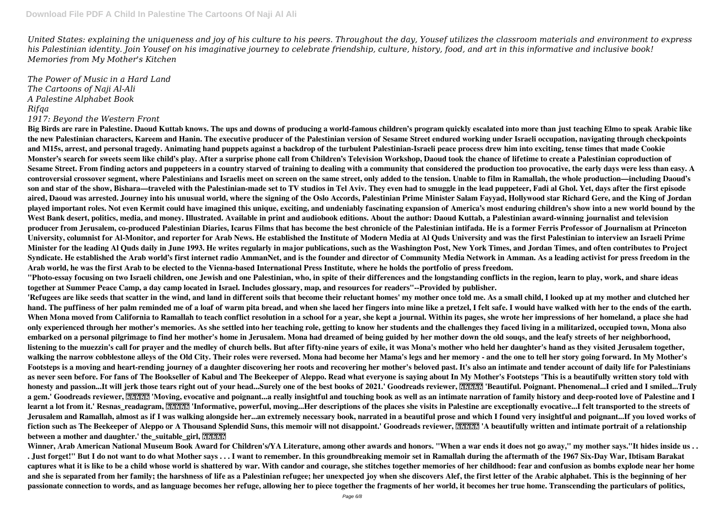*United States: explaining the uniqueness and joy of his culture to his peers. Throughout the day, Yousef utilizes the classroom materials and environment to express his Palestinian identity. Join Yousef on his imaginative journey to celebrate friendship, culture, history, food, and art in this informative and inclusive book! Memories from My Mother's Kitchen*

**Big Birds are rare in Palestine. Daoud Kuttab knows. The ups and downs of producing a world-famous children's program quickly escalated into more than just teaching Elmo to speak Arabic like the new Palestinian characters, Kareem and Hanin. The executive producer of the Palestinian version of Sesame Street endured working under Israeli occupation, navigating through checkpoints and M15s, arrest, and personal tragedy. Animating hand puppets against a backdrop of the turbulent Palestinian-Israeli peace process drew him into exciting, tense times that made Cookie Monster's search for sweets seem like child's play. After a surprise phone call from Children's Television Workshop, Daoud took the chance of lifetime to create a Palestinian coproduction of Sesame Street. From finding actors and puppeteers in a country starved of training to dealing with a community that considered the production too provocative, the early days were less than easy. A controversial crossover segment, where Palestinians and Israelis meet on screen on the same street, only added to the tension. Unable to film in Ramallah, the whole production—including Daoud's son and star of the show, Bishara—traveled with the Palestinian-made set to TV studios in Tel Aviv. They even had to smuggle in the lead puppeteer, Fadi al Ghol. Yet, days after the first episode aired, Daoud was arrested. Journey into his unusual world, where the signing of the Oslo Accords, Palestinian Prime Minister Salam Fayyad, Hollywood star Richard Gere, and the King of Jordan played important roles. Not even Kermit could have imagined this unique, exciting, and undeniably fascinating expansion of America's most enduring children's show into a new world bound by the West Bank desert, politics, media, and money. Illustrated. Available in print and audiobook editions. About the author: Daoud Kuttab, a Palestinian award-winning journalist and television producer from Jerusalem, co-produced Palestinian Diaries, Icarus Films that has become the best chronicle of the Palestinian intifada. He is a former Ferris Professor of Journalism at Princeton University, columnist for Al-Monitor, and reporter for Arab News. He established the Institute of Modern Media at Al Quds University and was the first Palestinian to interview an Israeli Prime Minister for the leading Al Quds daily in June 1993. He writes regularly in major publications, such as the Washington Post, New York Times, and Jordan Times, and often contributes to Project** Syndicate. He established the Arab world's first internet radio AmmanNet, and is the founder and director of Community Media Network in Amman. As a leading activist for press freedom in the **Arab world, he was the first Arab to be elected to the Vienna-based International Press Institute, where he holds the portfolio of press freedom. "Photo-essay focusing on two Israeli children, one Jewish and one Palestinian, who, in spite of their differences and the longstanding conflicts in the region, learn to play, work, and share ideas together at Summer Peace Camp, a day camp located in Israel. Includes glossary, map, and resources for readers"--Provided by publisher. 'Refugees are like seeds that scatter in the wind, and land in different soils that become their reluctant homes' my mother once told me. As a small child, I looked up at my mother and clutched her hand. The puffiness of her palm reminded me of a loaf of warm pita bread, and when she laced her fingers into mine like a pretzel, I felt safe. I would have walked with her to the ends of the earth. When Mona moved from California to Ramallah to teach conflict resolution in a school for a year, she kept a journal. Within its pages, she wrote her impressions of her homeland, a place she had only experienced through her mother's memories. As she settled into her teaching role, getting to know her students and the challenges they faced living in a militarized, occupied town, Mona also embarked on a personal pilgrimage to find her mother's home in Jerusalem. Mona had dreamed of being guided by her mother down the old souqs, and the leafy streets of her neighborhood, listening to the muezzin's call for prayer and the medley of church bells. But after fifty-nine years of exile, it was Mona's mother who held her daughter's hand as they visited Jerusalem together, walking the narrow cobblestone alleys of the Old City. Their roles were reversed. Mona had become her Mama's legs and her memory - and the one to tell her story going forward. In My Mother's Footsteps is a moving and heart-rending journey of a daughter discovering her roots and recovering her mother's beloved past. It's also an intimate and tender account of daily life for Palestinians as never seen before. For fans of The Bookseller of Kabul and The Beekeeper of Aleppo. Read what everyone is saying about In My Mother's Footsteps 'This is a beautifully written story told with** honesty and passion...It will jerk those tears right out of your head...Surely one of the best books of 2021.' Goodreads reviewer, **PPPPP** 'Beautiful. Poignant. Phenomenal...I cried and I smiled...Truly a gem.' Goodreads reviewer, **RRRR 'Moving**, evocative and poignant...a really insightful and touching book as well as an intimate narration of family history and deep-rooted love of Palestine and I learnt a lot from it.' Resnas\_readagram, **RRRR** 'Informative, powerful, moving...Her descriptions of the places she visits in Palestine are exceptionally evocative...I felt transported to the streets of **Jerusalem and Ramallah, almost as if I was walking alongside her...an extremely necessary book, narrated in a beautiful prose and which I found very insightful and poignant...If you loved works of** fiction such as The Beekeeper of Aleppo or A Thousand Splendid Suns, this memoir will not disappoint.' Goodreads reviewer, **PPPP** 'A beautifully written and intimate portrait of a relationship **between a mother and daughter.' the\_suitable\_girl, 22222** 

*The Power of Music in a Hard Land The Cartoons of Naji Al-Ali A Palestine Alphabet Book Rifqa 1917: Beyond the Western Front*

Winner, Arab American National Museum Book Award for Children's/YA Literature, among other awards and honors. "When a war ends it does not go away," my mother says."It hides inside us.. **. Just forget!" But I do not want to do what Mother says . . . I want to remember. In this groundbreaking memoir set in Ramallah during the aftermath of the 1967 Six-Day War, Ibtisam Barakat captures what it is like to be a child whose world is shattered by war. With candor and courage, she stitches together memories of her childhood: fear and confusion as bombs explode near her home and she is separated from her family; the harshness of life as a Palestinian refugee; her unexpected joy when she discovers Alef, the first letter of the Arabic alphabet. This is the beginning of her passionate connection to words, and as language becomes her refuge, allowing her to piece together the fragments of her world, it becomes her true home. Transcending the particulars of politics,**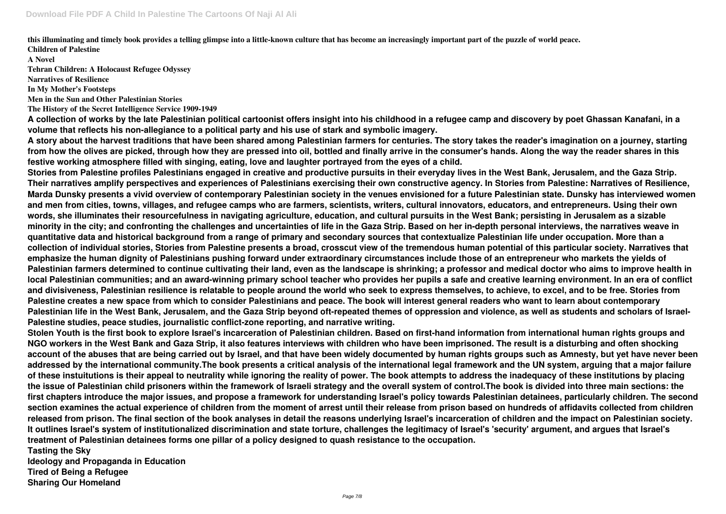**this illuminating and timely book provides a telling glimpse into a little-known culture that has become an increasingly important part of the puzzle of world peace. Children of Palestine**

**A Novel**

**Tehran Children: A Holocaust Refugee Odyssey**

**Narratives of Resilience**

**In My Mother's Footsteps**

**Men in the Sun and Other Palestinian Stories**

**The History of the Secret Intelligence Service 1909-1949**

**A collection of works by the late Palestinian political cartoonist offers insight into his childhood in a refugee camp and discovery by poet Ghassan Kanafani, in a volume that reflects his non-allegiance to a political party and his use of stark and symbolic imagery.**

**A story about the harvest traditions that have been shared among Palestinian farmers for centuries. The story takes the reader's imagination on a journey, starting from how the olives are picked, through how they are pressed into oil, bottled and finally arrive in the consumer's hands. Along the way the reader shares in this festive working atmosphere filled with singing, eating, love and laughter portrayed from the eyes of a child.**

**Stories from Palestine profiles Palestinians engaged in creative and productive pursuits in their everyday lives in the West Bank, Jerusalem, and the Gaza Strip. Their narratives amplify perspectives and experiences of Palestinians exercising their own constructive agency. In Stories from Palestine: Narratives of Resilience, Marda Dunsky presents a vivid overview of contemporary Palestinian society in the venues envisioned for a future Palestinian state. Dunsky has interviewed women and men from cities, towns, villages, and refugee camps who are farmers, scientists, writers, cultural innovators, educators, and entrepreneurs. Using their own words, she illuminates their resourcefulness in navigating agriculture, education, and cultural pursuits in the West Bank; persisting in Jerusalem as a sizable minority in the city; and confronting the challenges and uncertainties of life in the Gaza Strip. Based on her in-depth personal interviews, the narratives weave in quantitative data and historical background from a range of primary and secondary sources that contextualize Palestinian life under occupation. More than a collection of individual stories, Stories from Palestine presents a broad, crosscut view of the tremendous human potential of this particular society. Narratives that emphasize the human dignity of Palestinians pushing forward under extraordinary circumstances include those of an entrepreneur who markets the yields of Palestinian farmers determined to continue cultivating their land, even as the landscape is shrinking; a professor and medical doctor who aims to improve health in local Palestinian communities; and an award-winning primary school teacher who provides her pupils a safe and creative learning environment. In an era of conflict and divisiveness, Palestinian resilience is relatable to people around the world who seek to express themselves, to achieve, to excel, and to be free. Stories from Palestine creates a new space from which to consider Palestinians and peace. The book will interest general readers who want to learn about contemporary Palestinian life in the West Bank, Jerusalem, and the Gaza Strip beyond oft-repeated themes of oppression and violence, as well as students and scholars of Israel-Palestine studies, peace studies, journalistic conflict-zone reporting, and narrative writing.**

**Stolen Youth is the first book to explore Israel's incarceration of Palestinian children. Based on first-hand information from international human rights groups and NGO workers in the West Bank and Gaza Strip, it also features interviews with children who have been imprisoned. The result is a disturbing and often shocking account of the abuses that are being carried out by Israel, and that have been widely documented by human rights groups such as Amnesty, but yet have never been addressed by the international community.The book presents a critical analysis of the international legal framework and the UN system, arguing that a major failure of these instuitutions is their appeal to neutrality while ignoring the reality of power. The book attempts to address the inadequacy of these institutions by placing the issue of Palestinian child prisoners within the framework of Israeli strategy and the overall system of control.The book is divided into three main sections: the first chapters introduce the major issues, and propose a framework for understanding Israel's policy towards Palestinian detainees, particularly children. The second section examines the actual experience of children from the moment of arrest until their release from prison based on hundreds of affidavits collected from children released from prison. The final section of the book analyses in detail the reasons underlying Israel's incarceration of children and the impact on Palestinian society. It outlines Israel's system of institutionalized discrimination and state torture, challenges the legitimacy of Israel's 'security' argument, and argues that Israel's treatment of Palestinian detainees forms one pillar of a policy designed to quash resistance to the occupation. Tasting the Sky**

**Ideology and Propaganda in Education Tired of Being a Refugee Sharing Our Homeland**